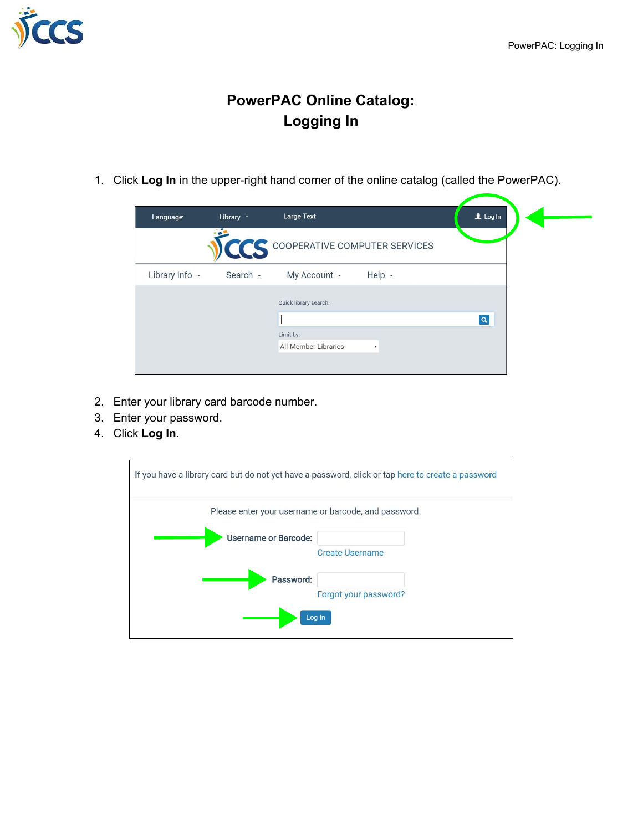

## **PowerPAC Online Catalog: Logging In**

1. Click **Log In** in the upper-right hand corner of the online catalog (called the PowerPAC).

| Language       | Library * | Large Text                        |                           | $L$ Log In |  |
|----------------|-----------|-----------------------------------|---------------------------|------------|--|
|                |           | CCS COOPERATIVE COMPUTER SERVICES |                           |            |  |
| Library Info - | Search -  | My Account -                      | Help -                    |            |  |
|                |           | Quick library search:             |                           |            |  |
|                |           |                                   |                           | $\alpha$   |  |
|                |           | Limit by:                         |                           |            |  |
|                |           | All Member Libraries              | $\boldsymbol{\mathrm{v}}$ |            |  |
|                |           |                                   |                           |            |  |

- 2. Enter your library card barcode number.
- 3. Enter your password.
- 4. Click **Log In**.

|                      | If you have a library card but do not yet have a password, click or tap here to create a password |
|----------------------|---------------------------------------------------------------------------------------------------|
|                      | Please enter your username or barcode, and password.                                              |
| Username or Barcode: | <b>Create Username</b>                                                                            |
| Password:            | Forgot your password?                                                                             |
|                      | Log In                                                                                            |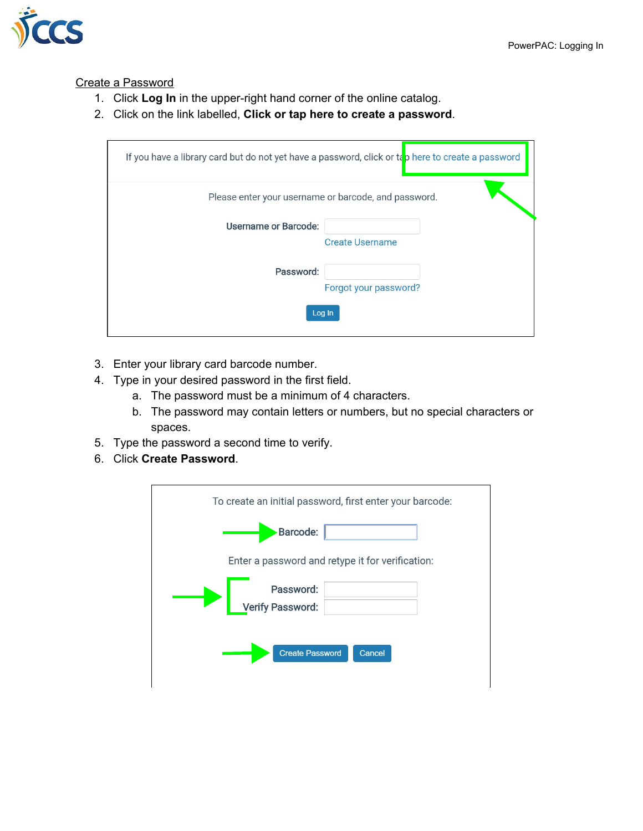

## Create a Password

- 1. Click **Log In** in the upper-right hand corner of the online catalog.
- 2. Click on the link labelled, **Click or tap here to create a password**.

|                             | If you have a library card but do not yet have a password, click or tap here to create a password |
|-----------------------------|---------------------------------------------------------------------------------------------------|
|                             | Please enter your username or barcode, and password.                                              |
| <b>Username or Barcode:</b> | <b>Create Username</b>                                                                            |
| Password:                   | Forgot your password?                                                                             |
|                             | Log In                                                                                            |

- 3. Enter your library card barcode number.
- 4. Type in your desired password in the first field.
	- a. The password must be a minimum of 4 characters.
	- b. The password may contain letters or numbers, but no special characters or spaces.
- 5. Type the password a second time to verify.
- 6. Click **Create Password**.

| To create an initial password, first enter your barcode: |
|----------------------------------------------------------|
| <b>Barcode:</b>                                          |
| Enter a password and retype it for verification:         |
| Password:<br>Verify Password:                            |
| <b>Create Password</b><br>Cancel                         |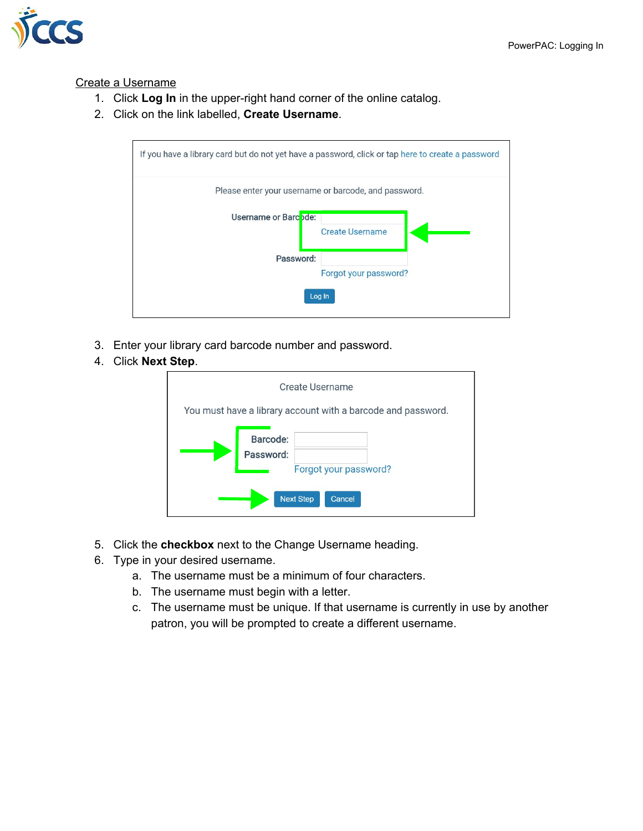

## Create a Username

- 1. Click **Log In** in the upper-right hand corner of the online catalog.
- 2. Click on the link labelled, **Create Username**.



- 3. Enter your library card barcode number and password.
- 4. Click **Next Step**.

|                                                              | Create Username                                     |  |  |
|--------------------------------------------------------------|-----------------------------------------------------|--|--|
| You must have a library account with a barcode and password. |                                                     |  |  |
| Barcode:<br>Password:                                        |                                                     |  |  |
|                                                              | Forgot your password?<br><b>Next Step</b><br>Cancel |  |  |

- 5. Click the **checkbox** next to the Change Username heading.
- 6. Type in your desired username.
	- a. The username must be a minimum of four characters.
	- b. The username must begin with a letter.
	- c. The username must be unique. If that username is currently in use by another patron, you will be prompted to create a different username.